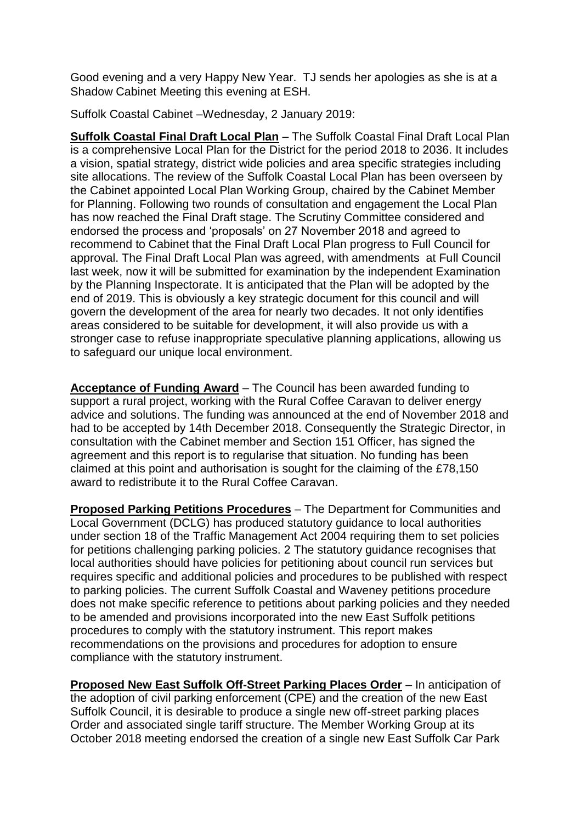Good evening and a very Happy New Year. TJ sends her apologies as she is at a Shadow Cabinet Meeting this evening at ESH.

Suffolk Coastal Cabinet –Wednesday, 2 January 2019:

**Suffolk Coastal Final Draft Local Plan** – The Suffolk Coastal Final Draft Local Plan is a comprehensive Local Plan for the District for the period 2018 to 2036. It includes a vision, spatial strategy, district wide policies and area specific strategies including site allocations. The review of the Suffolk Coastal Local Plan has been overseen by the Cabinet appointed Local Plan Working Group, chaired by the Cabinet Member for Planning. Following two rounds of consultation and engagement the Local Plan has now reached the Final Draft stage. The Scrutiny Committee considered and endorsed the process and 'proposals' on 27 November 2018 and agreed to recommend to Cabinet that the Final Draft Local Plan progress to Full Council for approval. The Final Draft Local Plan was agreed, with amendments at Full Council last week, now it will be submitted for examination by the independent Examination by the Planning Inspectorate. It is anticipated that the Plan will be adopted by the end of 2019. This is obviously a key strategic document for this council and will govern the development of the area for nearly two decades. It not only identifies areas considered to be suitable for development, it will also provide us with a stronger case to refuse inappropriate speculative planning applications, allowing us to safeguard our unique local environment.

**Acceptance of Funding Award** – The Council has been awarded funding to support a rural project, working with the Rural Coffee Caravan to deliver energy advice and solutions. The funding was announced at the end of November 2018 and had to be accepted by 14th December 2018. Consequently the Strategic Director, in consultation with the Cabinet member and Section 151 Officer, has signed the agreement and this report is to regularise that situation. No funding has been claimed at this point and authorisation is sought for the claiming of the £78,150 award to redistribute it to the Rural Coffee Caravan.

**Proposed Parking Petitions Procedures** – The Department for Communities and Local Government (DCLG) has produced statutory guidance to local authorities under section 18 of the Traffic Management Act 2004 requiring them to set policies for petitions challenging parking policies. 2 The statutory guidance recognises that local authorities should have policies for petitioning about council run services but requires specific and additional policies and procedures to be published with respect to parking policies. The current Suffolk Coastal and Waveney petitions procedure does not make specific reference to petitions about parking policies and they needed to be amended and provisions incorporated into the new East Suffolk petitions procedures to comply with the statutory instrument. This report makes recommendations on the provisions and procedures for adoption to ensure compliance with the statutory instrument.

**Proposed New East Suffolk Off-Street Parking Places Order** – In anticipation of the adoption of civil parking enforcement (CPE) and the creation of the new East Suffolk Council, it is desirable to produce a single new off-street parking places Order and associated single tariff structure. The Member Working Group at its October 2018 meeting endorsed the creation of a single new East Suffolk Car Park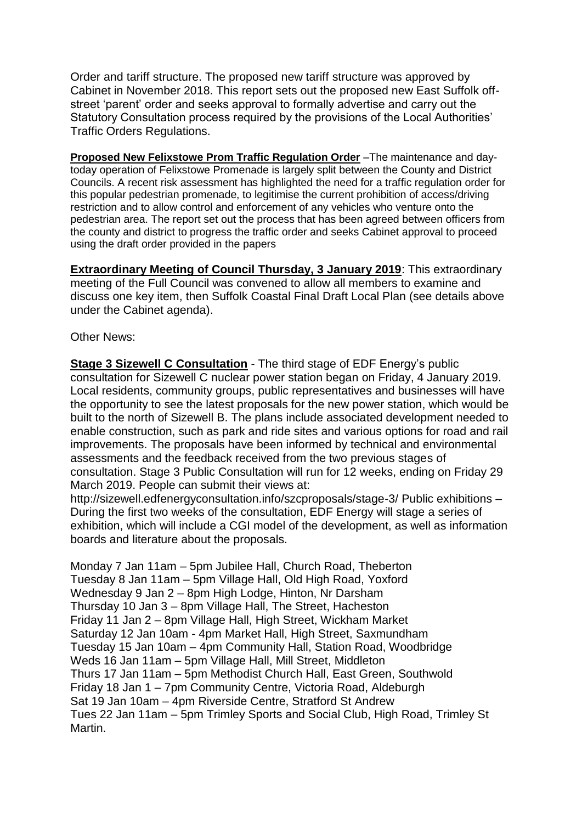Order and tariff structure. The proposed new tariff structure was approved by Cabinet in November 2018. This report sets out the proposed new East Suffolk offstreet 'parent' order and seeks approval to formally advertise and carry out the Statutory Consultation process required by the provisions of the Local Authorities' Traffic Orders Regulations.

**Proposed New Felixstowe Prom Traffic Regulation Order** –The maintenance and daytoday operation of Felixstowe Promenade is largely split between the County and District Councils. A recent risk assessment has highlighted the need for a traffic regulation order for this popular pedestrian promenade, to legitimise the current prohibition of access/driving restriction and to allow control and enforcement of any vehicles who venture onto the pedestrian area. The report set out the process that has been agreed between officers from the county and district to progress the traffic order and seeks Cabinet approval to proceed using the draft order provided in the papers

**Extraordinary Meeting of Council Thursday, 3 January 2019**: This extraordinary meeting of the Full Council was convened to allow all members to examine and discuss one key item, then Suffolk Coastal Final Draft Local Plan (see details above under the Cabinet agenda).

Other News:

**Stage 3 Sizewell C Consultation** - The third stage of EDF Energy's public consultation for Sizewell C nuclear power station began on Friday, 4 January 2019. Local residents, community groups, public representatives and businesses will have the opportunity to see the latest proposals for the new power station, which would be built to the north of Sizewell B. The plans include associated development needed to enable construction, such as park and ride sites and various options for road and rail improvements. The proposals have been informed by technical and environmental assessments and the feedback received from the two previous stages of consultation. Stage 3 Public Consultation will run for 12 weeks, ending on Friday 29 March 2019. People can submit their views at:

http://sizewell.edfenergyconsultation.info/szcproposals/stage-3/ Public exhibitions – During the first two weeks of the consultation, EDF Energy will stage a series of exhibition, which will include a CGI model of the development, as well as information boards and literature about the proposals.

Monday 7 Jan 11am – 5pm Jubilee Hall, Church Road, Theberton Tuesday 8 Jan 11am – 5pm Village Hall, Old High Road, Yoxford Wednesday 9 Jan 2 – 8pm High Lodge, Hinton, Nr Darsham Thursday 10 Jan 3 – 8pm Village Hall, The Street, Hacheston Friday 11 Jan 2 – 8pm Village Hall, High Street, Wickham Market Saturday 12 Jan 10am - 4pm Market Hall, High Street, Saxmundham Tuesday 15 Jan 10am – 4pm Community Hall, Station Road, Woodbridge Weds 16 Jan 11am – 5pm Village Hall, Mill Street, Middleton Thurs 17 Jan 11am – 5pm Methodist Church Hall, East Green, Southwold Friday 18 Jan 1 – 7pm Community Centre, Victoria Road, Aldeburgh Sat 19 Jan 10am – 4pm Riverside Centre, Stratford St Andrew Tues 22 Jan 11am – 5pm Trimley Sports and Social Club, High Road, Trimley St Martin.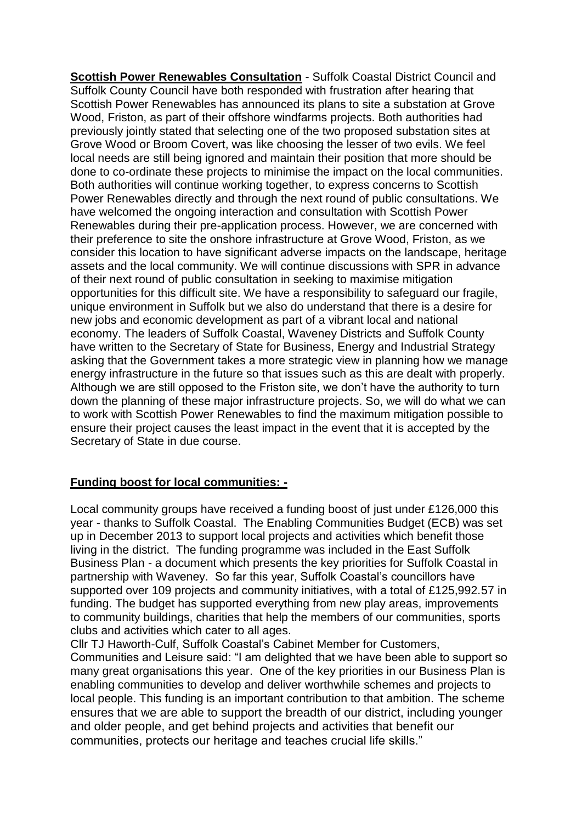**Scottish Power Renewables Consultation** - Suffolk Coastal District Council and Suffolk County Council have both responded with frustration after hearing that Scottish Power Renewables has announced its plans to site a substation at Grove Wood, Friston, as part of their offshore windfarms projects. Both authorities had previously jointly stated that selecting one of the two proposed substation sites at Grove Wood or Broom Covert, was like choosing the lesser of two evils. We feel local needs are still being ignored and maintain their position that more should be done to co-ordinate these projects to minimise the impact on the local communities. Both authorities will continue working together, to express concerns to Scottish Power Renewables directly and through the next round of public consultations. We have welcomed the ongoing interaction and consultation with Scottish Power Renewables during their pre-application process. However, we are concerned with their preference to site the onshore infrastructure at Grove Wood, Friston, as we consider this location to have significant adverse impacts on the landscape, heritage assets and the local community. We will continue discussions with SPR in advance of their next round of public consultation in seeking to maximise mitigation opportunities for this difficult site. We have a responsibility to safeguard our fragile, unique environment in Suffolk but we also do understand that there is a desire for new jobs and economic development as part of a vibrant local and national economy. The leaders of Suffolk Coastal, Waveney Districts and Suffolk County have written to the Secretary of State for Business, Energy and Industrial Strategy asking that the Government takes a more strategic view in planning how we manage energy infrastructure in the future so that issues such as this are dealt with properly. Although we are still opposed to the Friston site, we don't have the authority to turn down the planning of these major infrastructure projects. So, we will do what we can to work with Scottish Power Renewables to find the maximum mitigation possible to ensure their project causes the least impact in the event that it is accepted by the Secretary of State in due course.

## **Funding boost for local communities: -**

Local community groups have received a funding boost of just under £126,000 this year - thanks to Suffolk Coastal. The Enabling Communities Budget (ECB) was set up in December 2013 to support local projects and activities which benefit those living in the district. The funding programme was included in the East Suffolk Business Plan - a document which presents the key priorities for Suffolk Coastal in partnership with Waveney. So far this year, Suffolk Coastal's councillors have supported over 109 projects and community initiatives, with a total of £125,992.57 in funding. The budget has supported everything from new play areas, improvements to community buildings, charities that help the members of our communities, sports clubs and activities which cater to all ages.

Cllr TJ Haworth-Culf, Suffolk Coastal's Cabinet Member for Customers,

Communities and Leisure said: "I am delighted that we have been able to support so many great organisations this year. One of the key priorities in our Business Plan is enabling communities to develop and deliver worthwhile schemes and projects to local people. This funding is an important contribution to that ambition. The scheme ensures that we are able to support the breadth of our district, including younger and older people, and get behind projects and activities that benefit our communities, protects our heritage and teaches crucial life skills."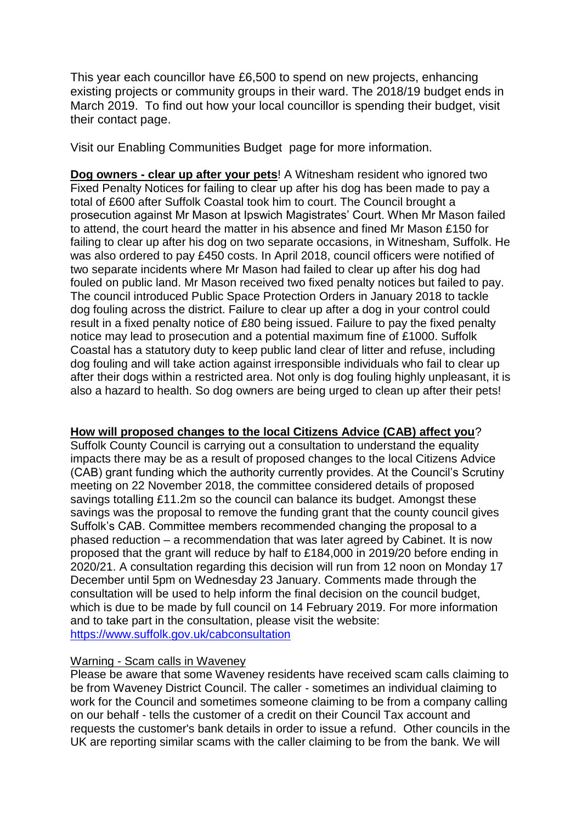This year each councillor have £6,500 to spend on new projects, enhancing existing projects or community groups in their ward. The 2018/19 budget ends in March 2019. To find out how your local councillor is spending their budget, visit their [contact](https://www.eastsuffolk.gov.uk/yourcouncil/councillors/suffolk-coastal-district-councillors/) page.

Visit our [Enabling Communities Budget](https://www.eastsuffolk.gov.uk/community/community-grants-and-funding/suffolk-coastal-enabling-communities-budgets/) page for more information.

**Dog owners - clear up after your pets**! A Witnesham resident who ignored two Fixed Penalty Notices for failing to clear up after his dog has been made to pay a total of £600 after Suffolk Coastal took him to court. The Council brought a prosecution against Mr Mason at Ipswich Magistrates' Court. When Mr Mason failed to attend, the court heard the matter in his absence and fined Mr Mason £150 for failing to clear up after his dog on two separate occasions, in Witnesham, Suffolk. He was also ordered to pay £450 costs. In April 2018, council officers were notified of two separate incidents where Mr Mason had failed to clear up after his dog had fouled on public land. Mr Mason received two fixed penalty notices but failed to pay. The council introduced Public Space Protection Orders in January 2018 to tackle dog fouling across the district. Failure to clear up after a dog in your control could result in a fixed penalty notice of £80 being issued. Failure to pay the fixed penalty notice may lead to prosecution and a potential maximum fine of £1000. Suffolk Coastal has a statutory duty to keep public land clear of litter and refuse, including dog fouling and will take action against irresponsible individuals who fail to clear up after their dogs within a restricted area. Not only is dog fouling highly unpleasant, it is also a hazard to health. So dog owners are being urged to clean up after their pets!

## **How will proposed changes to the local Citizens Advice (CAB) affect you**?

Suffolk County Council is carrying out a consultation to understand the equality impacts there may be as a result of proposed changes to the local Citizens Advice (CAB) grant funding which the authority currently provides. At the Council's Scrutiny meeting on 22 November 2018, the committee considered details of proposed savings totalling £11.2m so the council can balance its budget. Amongst these savings was the proposal to remove the funding grant that the county council gives Suffolk's CAB. Committee members recommended changing the proposal to a phased reduction – a recommendation that was later agreed by Cabinet. It is now proposed that the grant will reduce by half to £184,000 in 2019/20 before ending in 2020/21. A consultation regarding this decision will run from 12 noon on Monday 17 December until 5pm on Wednesday 23 January. Comments made through the consultation will be used to help inform the final decision on the council budget, which is due to be made by full council on 14 February 2019. For more information and to take part in the consultation, please visit the website: <https://www.suffolk.gov.uk/cabconsultation>

## Warning - Scam calls in Waveney

Please be aware that some Waveney residents have received scam calls claiming to be from Waveney District Council. The caller - sometimes an individual claiming to work for the Council and sometimes someone claiming to be from a company calling on our behalf - tells the customer of a credit on their Council Tax account and requests the customer's bank details in order to issue a refund. Other councils in the UK are reporting similar scams with the caller claiming to be from the bank. We will